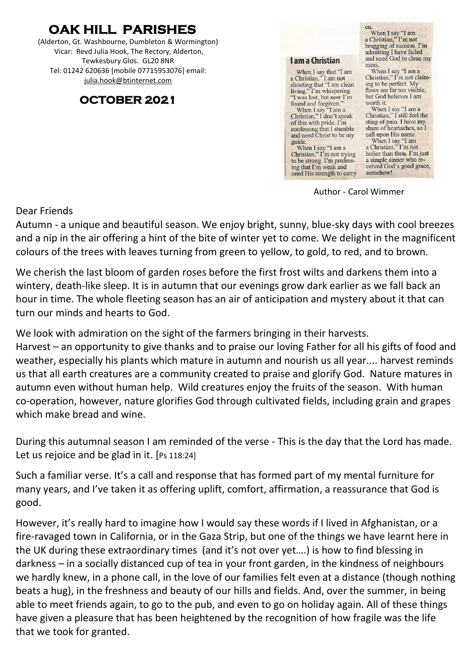## **OAK HILL PARISHES**

(Alderton, Gt. Washbourne, Dumbleton & Wormington) Vicar: Revd Julia Hook, The Rectory, Alderton, Tewkesbury Glos. GL20 8NR Tel: 01242 620636 [mobile 07715953076] email: [julia.hook@btinternet.com](mailto:julia.hook@btinternet.com)

### **OCTOBER 2021**

**I am a Christian** 

When I say that "I am<br>a Christian," I am not shouting that "I am clean living." I'm whispering<br>"I was lost, but now I'm found and forgiven."<br>When I say "I am a<br>Christian," I don't speak of this with pride. I'm confessing that I stumble and need Christ to be my guide.<br>When I say "I am a<br>Christian," I'm not trying to be strong. I'm profess-

ing that I'm weak and

need His strength to carry

on. on.<br>
when I say "I am<br>
a Christian," I'm not<br>
bragging of success. I'm<br>
admitting I have failed and need God to clean my mess

When I say "I am a<br>Christian," I'm not claiming to be perfect. My flaws are far too visible, but God believes I am worth it.

When I say "I am a<br>Christian," I still feel the sting of pain. I have my share of heartaches, so I call upon His name.

When I say "I am<br>a Christian," I'm not holier than thou. I'm just a simple sinner who received God's good grace, somehow!

Author - Carol Wimmer

Dear Friends

Autumn - a unique and beautiful season. We enjoy bright, sunny, blue-sky days with cool breezes and a nip in the air offering a hint of the bite of winter yet to come. We delight in the magnificent colours of the trees with leaves turning from green to yellow, to gold, to red, and to brown.

We cherish the last bloom of garden roses before the first frost wilts and darkens them into a wintery, death-like sleep. It is in autumn that our evenings grow dark earlier as we fall back an hour in time. The whole fleeting season has an air of anticipation and mystery about it that can turn our minds and hearts to God.

We look with admiration on the sight of the farmers bringing in their harvests.

Harvest – an opportunity to give thanks and to praise our loving Father for all his gifts of food and weather, especially his plants which mature in autumn and nourish us all year.... harvest reminds us that all earth creatures are a community created to praise and glorify God. Nature matures in autumn even without human help. Wild creatures enjoy the fruits of the season. With human co-operation, however, nature glorifies God through cultivated fields, including grain and grapes which make bread and wine.

During this autumnal season I am reminded of the verse - This is the day that the Lord has made. Let us rejoice and be glad in it. [Ps 118:24]

Such a familiar verse. It's a call and response that has formed part of my mental furniture for many years, and I've taken it as offering uplift, comfort, affirmation, a reassurance that God is good.

However, it's really hard to imagine how I would say these words if I lived in Afghanistan, or a fire-ravaged town in California, or in the Gaza Strip, but one of the things we have learnt here in the UK during these extraordinary times (and it's not over yet….) is how to find blessing in darkness – in a socially distanced cup of tea in your front garden, in the kindness of neighbours we hardly knew, in a phone call, in the love of our families felt even at a distance (though nothing beats a hug), in the freshness and beauty of our hills and fields. And, over the summer, in being able to meet friends again, to go to the pub, and even to go on holiday again. All of these things have given a pleasure that has been heightened by the recognition of how fragile was the life that we took for granted.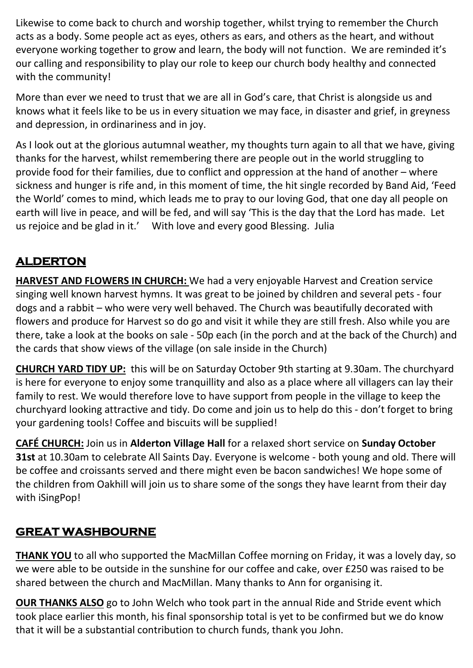Likewise to come back to church and worship together, whilst trying to remember the Church acts as a body. Some people act as eyes, others as ears, and others as the heart, and without everyone working together to grow and learn, the body will not function. We are reminded it's our calling and responsibility to play our role to keep our church body healthy and connected with the community!

More than ever we need to trust that we are all in God's care, that Christ is alongside us and knows what it feels like to be us in every situation we may face, in disaster and grief, in greyness and depression, in ordinariness and in joy.

As I look out at the glorious autumnal weather, my thoughts turn again to all that we have, giving thanks for the harvest, whilst remembering there are people out in the world struggling to provide food for their families, due to conflict and oppression at the hand of another – where sickness and hunger is rife and, in this moment of time, the hit single recorded by Band Aid, 'Feed the World' comes to mind, which leads me to pray to our loving God, that one day all people on earth will live in peace, and will be fed, and will say 'This is the day that the Lord has made. Let us rejoice and be glad in it.' With love and every good Blessing. Julia

### **ALDERTON**

**HARVEST AND FLOWERS IN CHURCH:** We had a very enjoyable Harvest and Creation service singing well known harvest hymns. It was great to be joined by children and several pets - four dogs and a rabbit – who were very well behaved. The Church was beautifully decorated with flowers and produce for Harvest so do go and visit it while they are still fresh. Also while you are there, take a look at the books on sale - 50p each (in the porch and at the back of the Church) and the cards that show views of the village (on sale inside in the Church)

**CHURCH YARD TIDY UP:** this will be on Saturday October 9th starting at 9.30am. The churchyard is here for everyone to enjoy some tranquillity and also as a place where all villagers can lay their family to rest. We would therefore love to have support from people in the village to keep the churchyard looking attractive and tidy. Do come and join us to help do this - don't forget to bring your gardening tools! Coffee and biscuits will be supplied!

**CAFÉ CHURCH:** Join us in **Alderton Village Hall** for a relaxed short service on **Sunday October 31st** at 10.30am to celebrate All Saints Day. Everyone is welcome - both young and old. There will be coffee and croissants served and there might even be bacon sandwiches! We hope some of the children from Oakhill will join us to share some of the songs they have learnt from their day with iSingPop!

#### **GREAT WASHBOURNE**

**THANK YOU** to all who supported the MacMillan Coffee morning on Friday, it was a lovely day, so we were able to be outside in the sunshine for our coffee and cake, over £250 was raised to be shared between the church and MacMillan. Many thanks to Ann for organising it.

**OUR THANKS ALSO** go to John Welch who took part in the annual Ride and Stride event which took place earlier this month, his final sponsorship total is yet to be confirmed but we do know that it will be a substantial contribution to church funds, thank you John.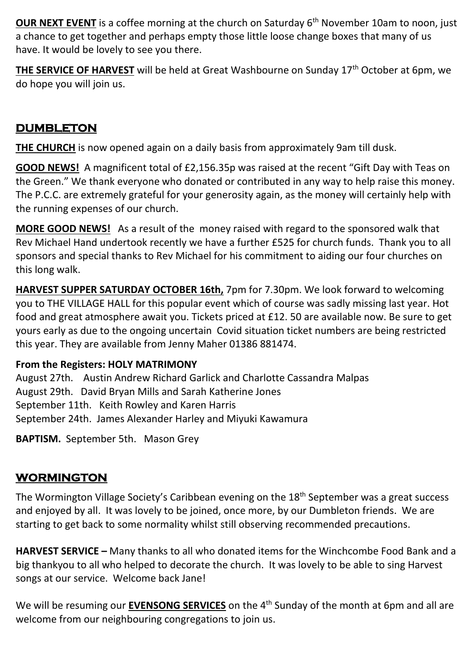**OUR NEXT EVENT** is a coffee morning at the church on Saturday 6<sup>th</sup> November 10am to noon, just a chance to get together and perhaps empty those little loose change boxes that many of us have. It would be lovely to see you there.

**THE SERVICE OF HARVEST** will be held at Great Washbourne on Sunday 17th October at 6pm, we do hope you will join us.

### **DUMBLETON**

**THE CHURCH** is now opened again on a daily basis from approximately 9am till dusk.

**GOOD NEWS!** A magnificent total of £2,156.35p was raised at the recent "Gift Day with Teas on the Green." We thank everyone who donated or contributed in any way to help raise this money. The P.C.C. are extremely grateful for your generosity again, as the money will certainly help with the running expenses of our church.

**MORE GOOD NEWS!** As a result of the money raised with regard to the sponsored walk that Rev Michael Hand undertook recently we have a further £525 for church funds. Thank you to all sponsors and special thanks to Rev Michael for his commitment to aiding our four churches on this long walk.

**HARVEST SUPPER SATURDAY OCTOBER 16th,** 7pm for 7.30pm. We look forward to welcoming you to THE VILLAGE HALL for this popular event which of course was sadly missing last year. Hot food and great atmosphere await you. Tickets priced at £12. 50 are available now. Be sure to get yours early as due to the ongoing uncertain Covid situation ticket numbers are being restricted this year. They are available from Jenny Maher 01386 881474.

### **From the Registers: HOLY MATRIMONY**

August 27th. Austin Andrew Richard Garlick and Charlotte Cassandra Malpas August 29th. David Bryan Mills and Sarah Katherine Jones September 11th. Keith Rowley and Karen Harris September 24th. James Alexander Harley and Miyuki Kawamura

**BAPTISM.** September 5th. Mason Grey

## **WORMINGTON**

The Wormington Village Society's Caribbean evening on the 18<sup>th</sup> September was a great success and enjoyed by all. It was lovely to be joined, once more, by our Dumbleton friends. We are starting to get back to some normality whilst still observing recommended precautions.

**HARVEST SERVICE –** Many thanks to all who donated items for the Winchcombe Food Bank and a big thankyou to all who helped to decorate the church. It was lovely to be able to sing Harvest songs at our service. Welcome back Jane!

We will be resuming our **EVENSONG SERVICES** on the 4<sup>th</sup> Sunday of the month at 6pm and all are welcome from our neighbouring congregations to join us.